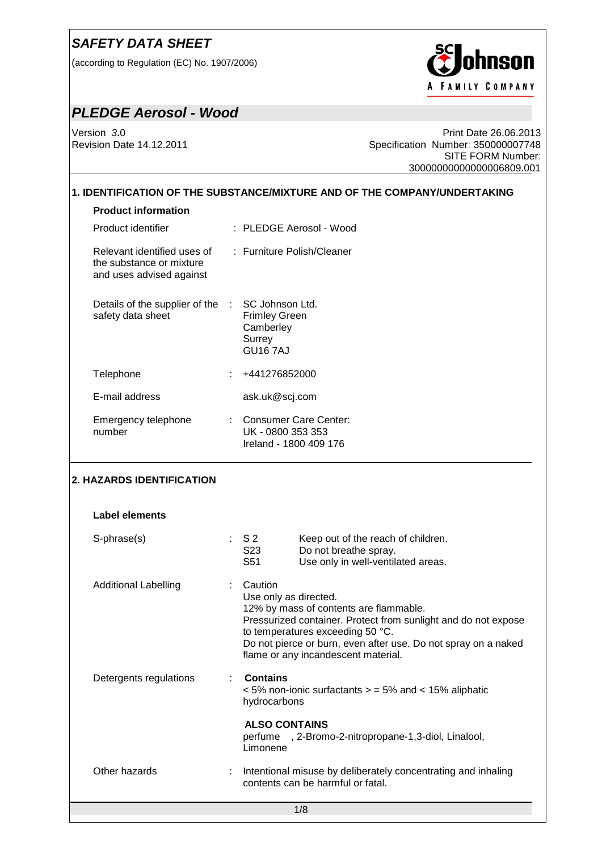(according to Regulation (EC) No. 1907/2006)



## *PLEDGE Aerosol - Wood*

Version *3***.**0 Print Date 26.06.2013 Specification Number: 350000007748 SITE FORM Number: 30000000000000006809.001

### **1. IDENTIFICATION OF THE SUBSTANCE/MIXTURE AND OF THE COMPANY/UNDERTAKING**

## **Product information**

| Product identifier                                                                  | : PLEDGE Aerosol - Wood                                                                        |
|-------------------------------------------------------------------------------------|------------------------------------------------------------------------------------------------|
| Relevant identified uses of<br>the substance or mixture<br>and uses advised against | : Furniture Polish/Cleaner                                                                     |
| Details of the supplier of the<br>safety data sheet                                 | SC Johnson Ltd.<br><b>100</b><br><b>Frimley Green</b><br>Camberley<br>Surrey<br><b>GU167AJ</b> |
| Telephone                                                                           | : +441276852000                                                                                |
| E-mail address                                                                      | ask.uk@scj.com                                                                                 |
| Emergency telephone<br>number                                                       | <b>Consumer Care Center:</b><br>t.<br>UK - 0800 353 353<br>Ireland - 1800 409 176              |

## **2. HAZARDS IDENTIFICATION**

| Label elements              |                                               |                                                                                                                                                                                                                                                       |
|-----------------------------|-----------------------------------------------|-------------------------------------------------------------------------------------------------------------------------------------------------------------------------------------------------------------------------------------------------------|
| S-phrase(s)                 | $\therefore$ S2<br>S23<br>S51                 | Keep out of the reach of children.<br>Do not breathe spray.<br>Use only in well-ventilated areas.                                                                                                                                                     |
| <b>Additional Labelling</b> | $\therefore$ Caution<br>Use only as directed. | 12% by mass of contents are flammable.<br>Pressurized container. Protect from sunlight and do not expose<br>to temperatures exceeding 50 °C.<br>Do not pierce or burn, even after use. Do not spray on a naked<br>flame or any incandescent material. |
| Detergents regulations      | <b>Contains</b><br>hydrocarbons               | $\epsilon$ 5% non-ionic surfactants $\epsilon$ = 5% and $\epsilon$ 15% aliphatic                                                                                                                                                                      |
|                             | <b>ALSO CONTAINS</b><br>Limonene              | perfume, 2-Bromo-2-nitropropane-1,3-diol, Linalool,                                                                                                                                                                                                   |
| Other hazards               |                                               | : Intentional misuse by deliberately concentrating and inhaling<br>contents can be harmful or fatal.                                                                                                                                                  |
|                             |                                               | 1/8                                                                                                                                                                                                                                                   |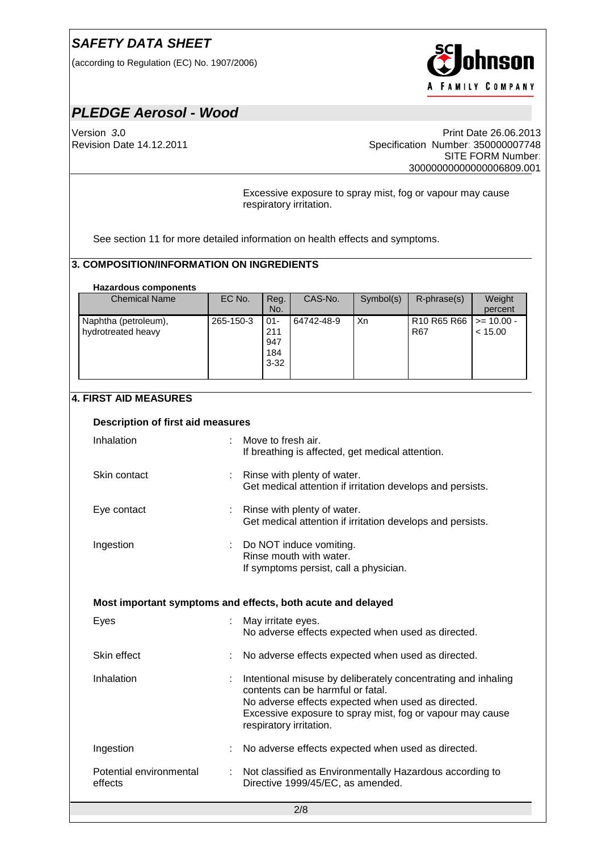(according to Regulation (EC) No. 1907/2006)



# *PLEDGE Aerosol - Wood*

Version *3***.**0 Print Date 26.06.2013 Specification Number: 350000007748 SITE FORM Number: 30000000000000006809.001

> Excessive exposure to spray mist, fog or vapour may cause respiratory irritation.

See section 11 for more detailed information on health effects and symptoms.

### **3. COMPOSITION/INFORMATION ON INGREDIENTS**

#### **Hazardous components**

| <b>Chemical Name</b> | EC No.    | Reg.     | CAS-No.    | Symbol(s) | $R$ -phrase $(s)$        | Weight  |
|----------------------|-----------|----------|------------|-----------|--------------------------|---------|
|                      |           | No.      |            |           |                          | percent |
| Naphtha (petroleum), | 265-150-3 | $01 -$   | 64742-48-9 | Xn        | R10 R65 R66   >= 10.00 - |         |
| hydrotreated heavy   |           | 211      |            |           | R67                      | < 15.00 |
|                      |           | 947      |            |           |                          |         |
|                      |           | 184      |            |           |                          |         |
|                      |           | $3 - 32$ |            |           |                          |         |
|                      |           |          |            |           |                          |         |

#### **4. FIRST AID MEASURES**

| Description of first aid measures                           |    |                                                                                                                                                                                                                                                  |  |  |  |
|-------------------------------------------------------------|----|--------------------------------------------------------------------------------------------------------------------------------------------------------------------------------------------------------------------------------------------------|--|--|--|
| Inhalation                                                  |    | Move to fresh air.<br>If breathing is affected, get medical attention.                                                                                                                                                                           |  |  |  |
| Skin contact                                                |    | : Rinse with plenty of water.<br>Get medical attention if irritation develops and persists.                                                                                                                                                      |  |  |  |
| Eye contact                                                 |    | : Rinse with plenty of water.<br>Get medical attention if irritation develops and persists.                                                                                                                                                      |  |  |  |
| Ingestion                                                   | ÷. | Do NOT induce vomiting.<br>Rinse mouth with water.<br>If symptoms persist, call a physician.                                                                                                                                                     |  |  |  |
| Most important symptoms and effects, both acute and delayed |    |                                                                                                                                                                                                                                                  |  |  |  |
| Eyes                                                        |    | May irritate eyes.<br>No adverse effects expected when used as directed.                                                                                                                                                                         |  |  |  |
| Skin effect                                                 |    | No adverse effects expected when used as directed.                                                                                                                                                                                               |  |  |  |
| Inhalation                                                  |    | Intentional misuse by deliberately concentrating and inhaling<br>contents can be harmful or fatal.<br>No adverse effects expected when used as directed.<br>Excessive exposure to spray mist, fog or vapour may cause<br>respiratory irritation. |  |  |  |
| Ingestion                                                   |    | No adverse effects expected when used as directed.                                                                                                                                                                                               |  |  |  |
| Potential environmental<br>effects                          | ÷  | Not classified as Environmentally Hazardous according to<br>Directive 1999/45/EC, as amended.                                                                                                                                                    |  |  |  |
|                                                             |    | $\sim$ $\sim$                                                                                                                                                                                                                                    |  |  |  |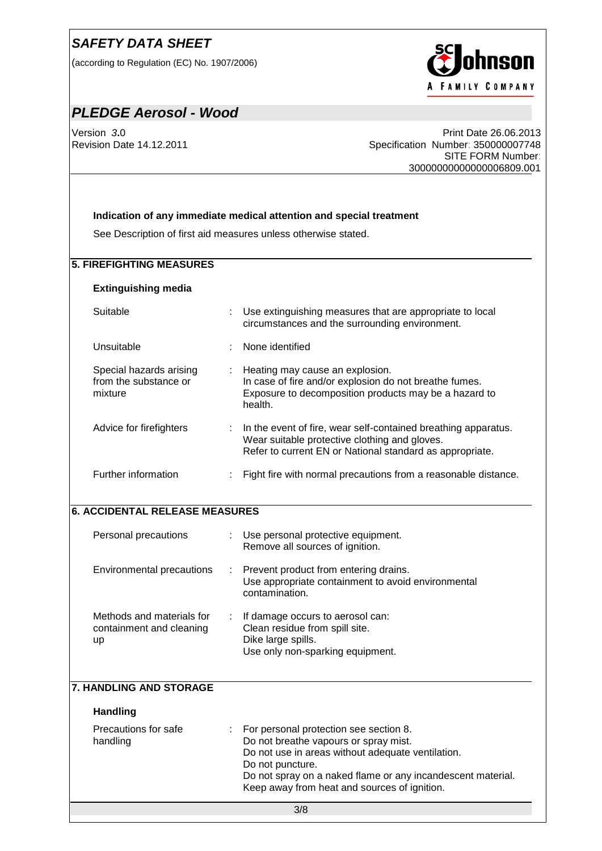(according to Regulation (EC) No. 1907/2006)



# *PLEDGE Aerosol - Wood*

Version *3***.**0 Print Date 26.06.2013 Specification Number: 350000007748 SITE FORM Number: 30000000000000006809.001

#### **Indication of any immediate medical attention and special treatment**

See Description of first aid measures unless otherwise stated.

#### **5. FIREFIGHTING MEASURES**

#### **Extinguishing media**

Suitable **Suitable** : Use extinguishing measures that are appropriate to local

Unsuitable : None identified

| Special hazards arising<br>from the substance or<br>mixture | ÷. | Heating may cause an explosion.<br>In case of fire and/or explosion do not breathe fumes.<br>Exposure to decomposition products may be a hazard to<br>health.               |
|-------------------------------------------------------------|----|-----------------------------------------------------------------------------------------------------------------------------------------------------------------------------|
| Advice for firefighters                                     | ÷  | In the event of fire, wear self-contained breathing apparatus.<br>Wear suitable protective clothing and gloves.<br>Refer to current EN or National standard as appropriate. |
| Further information                                         | ٠  | Fight fire with normal precautions from a reasonable distance.                                                                                                              |

circumstances and the surrounding environment.

#### **6. ACCIDENTAL RELEASE MEASURES**

| Personal precautions                                        |    | : Use personal protective equipment.<br>Remove all sources of ignition.                                                      |
|-------------------------------------------------------------|----|------------------------------------------------------------------------------------------------------------------------------|
| Environmental precautions                                   |    | : Prevent product from entering drains.<br>Use appropriate containment to avoid environmental<br>contamination.              |
| Methods and materials for<br>containment and cleaning<br>up | ÷. | If damage occurs to aerosol can:<br>Clean residue from spill site.<br>Dike large spills.<br>Use only non-sparking equipment. |

#### **7. HANDLING AND STORAGE**

#### **Handling**

| Precautions for safe | : For personal protection see section 8.                    |
|----------------------|-------------------------------------------------------------|
| handling             | Do not breathe vapours or spray mist.                       |
|                      | Do not use in areas without adequate ventilation.           |
|                      | Do not puncture.                                            |
|                      | Do not spray on a naked flame or any incandescent material. |
|                      | Keep away from heat and sources of ignition.                |
|                      |                                                             |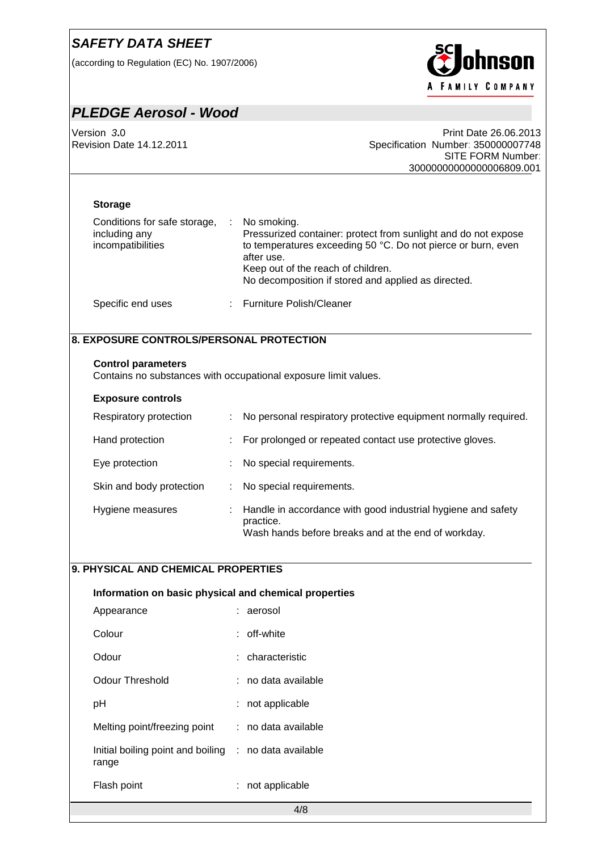(according to Regulation (EC) No. 1907/2006)



## *PLEDGE Aerosol - Wood*

Version *3***.**0 Print Date 26.06.2013 Specification Number: 350000007748 SITE FORM Number: 30000000000000006809.001

#### **Storage**

| Conditions for safe storage,<br>including any<br>incompatibilities | No smoking.<br>Pressurized container: protect from sunlight and do not expose<br>to temperatures exceeding 50 °C. Do not pierce or burn, even<br>after use.<br>Keep out of the reach of children.<br>No decomposition if stored and applied as directed. |
|--------------------------------------------------------------------|----------------------------------------------------------------------------------------------------------------------------------------------------------------------------------------------------------------------------------------------------------|
| Specific end uses                                                  | : Furniture Polish/Cleaner                                                                                                                                                                                                                               |

## **8. EXPOSURE CONTROLS/PERSONAL PROTECTION**

#### **Control parameters**

Contains no substances with occupational exposure limit values.

#### **Exposure controls**

| Respiratory protection   | : No personal respiratory protective equipment normally required.                                                                  |
|--------------------------|------------------------------------------------------------------------------------------------------------------------------------|
| Hand protection          | : For prolonged or repeated contact use protective gloves.                                                                         |
| Eye protection           | No special requirements.                                                                                                           |
| Skin and body protection | : No special requirements.                                                                                                         |
| Hygiene measures         | : Handle in accordance with good industrial hygiene and safety<br>practice.<br>Wash hands before breaks and at the end of workday. |

#### **9. PHYSICAL AND CHEMICAL PROPERTIES**

# 4/8 **Information on basic physical and chemical properties** Appearance : aerosol Colour : off-white Odour : characteristic Odour Threshold : no data available pH : not applicable Melting point/freezing point : no data available Initial boiling point and boiling : no data available range Flash point : not applicable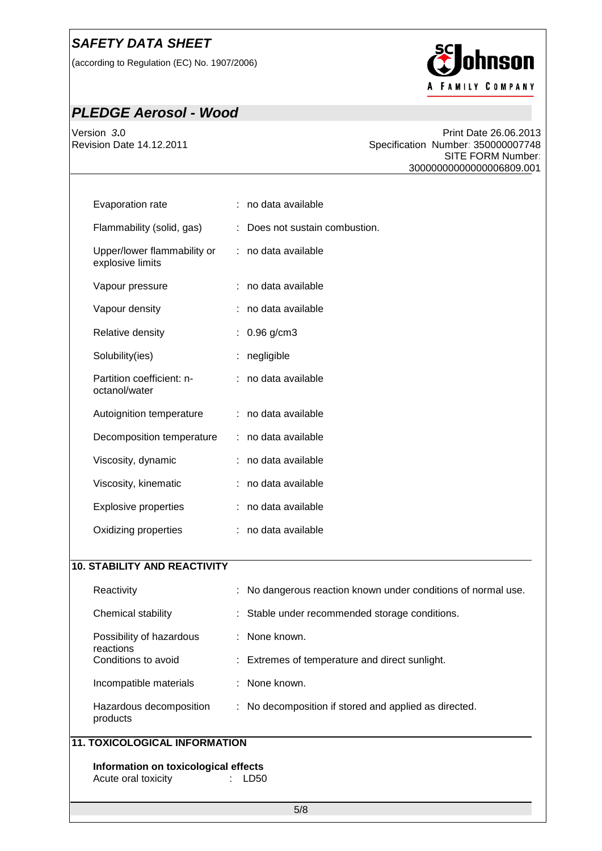(according to Regulation (EC) No. 1907/2006)



# *PLEDGE Aerosol - Wood*

Version 3.0<br>Revision Date 14.12.2011 **19.12 Controlled Burger Controls Controlled Burger Controls Controls Controls Control**<br>Specification Number: 350000007748 Specification Number: 350000007748 SITE FORM Number: 30000000000000006809.001

| Evaporation rate                                | : no data available            |
|-------------------------------------------------|--------------------------------|
| Flammability (solid, gas)                       | : Does not sustain combustion. |
| Upper/lower flammability or<br>explosive limits | : no data available            |
| Vapour pressure                                 | : no data available            |
| Vapour density                                  | : no data available            |
| Relative density                                | : $0.96$ g/cm3                 |
| Solubility(ies)                                 | negligible                     |
| Partition coefficient: n-<br>octanol/water      | : no data available            |
| Autoignition temperature                        | : no data available            |
| Decomposition temperature                       | : no data available            |
| Viscosity, dynamic                              | : no data available            |
| Viscosity, kinematic                            | : no data available            |
| <b>Explosive properties</b>                     | : no data available            |
| Oxidizing properties                            | : no data available            |
|                                                 |                                |

### **10. STABILITY AND REACTIVITY**

| Reactivity                            | : No dangerous reaction known under conditions of normal use. |  |  |  |
|---------------------------------------|---------------------------------------------------------------|--|--|--|
| Chemical stability                    | : Stable under recommended storage conditions.                |  |  |  |
| Possibility of hazardous<br>reactions | : None known.                                                 |  |  |  |
| Conditions to avoid                   | : Extremes of temperature and direct sunlight.                |  |  |  |
| Incompatible materials                | $\therefore$ None known.                                      |  |  |  |
| Hazardous decomposition<br>products   | : No decomposition if stored and applied as directed.         |  |  |  |
| <b>11. TOXICOLOGICAL INFORMATION</b>  |                                                               |  |  |  |

**Information on toxicological effects**<br>Acute oral toxicity : LD50 Acute oral toxicity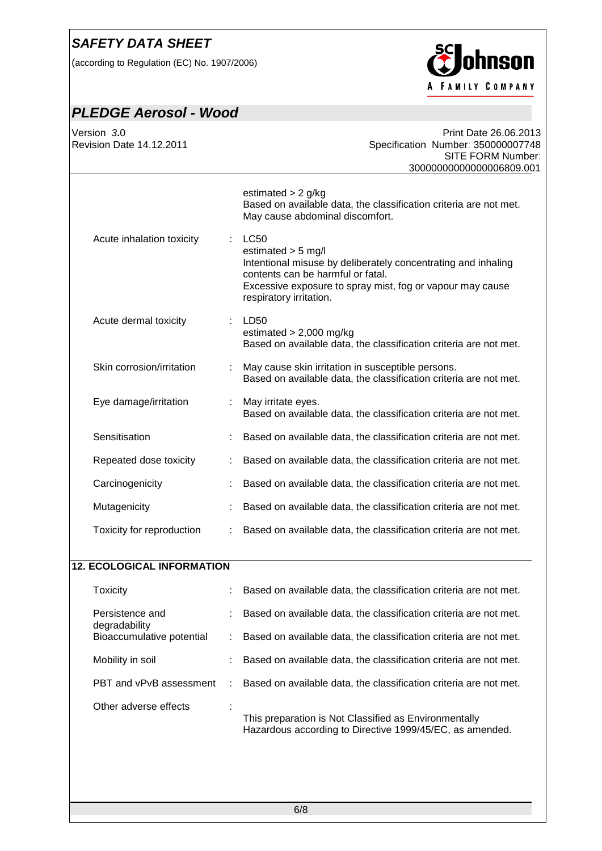(according to Regulation (EC) No. 1907/2006)



# *PLEDGE Aerosol - Wood*

| Version 3.0<br><b>Revision Date 14.12.2011</b> |   | Print Date 26.06.2013<br>Specification Number: 350000007748<br>SITE FORM Number:<br>30000000000000006809.001                                                                                                                      |
|------------------------------------------------|---|-----------------------------------------------------------------------------------------------------------------------------------------------------------------------------------------------------------------------------------|
|                                                |   | estimated $> 2$ g/kg<br>Based on available data, the classification criteria are not met.<br>May cause abdominal discomfort.                                                                                                      |
| Acute inhalation toxicity                      | ÷ | <b>LC50</b><br>estimated $>$ 5 mg/l<br>Intentional misuse by deliberately concentrating and inhaling<br>contents can be harmful or fatal.<br>Excessive exposure to spray mist, fog or vapour may cause<br>respiratory irritation. |
| Acute dermal toxicity                          | ÷ | LD50<br>estimated $> 2,000$ mg/kg<br>Based on available data, the classification criteria are not met.                                                                                                                            |
| Skin corrosion/irritation                      | ÷ | May cause skin irritation in susceptible persons.<br>Based on available data, the classification criteria are not met.                                                                                                            |
| Eye damage/irritation                          |   | May irritate eyes.<br>Based on available data, the classification criteria are not met.                                                                                                                                           |
| Sensitisation                                  |   | Based on available data, the classification criteria are not met.                                                                                                                                                                 |
| Repeated dose toxicity                         |   | Based on available data, the classification criteria are not met.                                                                                                                                                                 |
| Carcinogenicity                                |   | Based on available data, the classification criteria are not met.                                                                                                                                                                 |
| Mutagenicity                                   |   | Based on available data, the classification criteria are not met.                                                                                                                                                                 |
| Toxicity for reproduction                      |   | Based on available data, the classification criteria are not met.                                                                                                                                                                 |
| <b>12. ECOLOGICAL INFORMATION</b>              |   |                                                                                                                                                                                                                                   |
| <b>Toxicity</b>                                |   | Based on available data, the classification criteria are not met.                                                                                                                                                                 |
| Persistence and                                |   | Based on available data, the classification criteria are not met.                                                                                                                                                                 |
| degradability<br>Bioaccumulative potential     | ÷ | Based on available data, the classification criteria are not met.                                                                                                                                                                 |
| Mobility in soil                               |   | Based on available data, the classification criteria are not met.                                                                                                                                                                 |
| PBT and vPvB assessment                        |   | Based on available data, the classification criteria are not met.                                                                                                                                                                 |
| Other adverse effects                          |   | This preparation is Not Classified as Environmentally<br>Hazardous according to Directive 1999/45/EC, as amended.                                                                                                                 |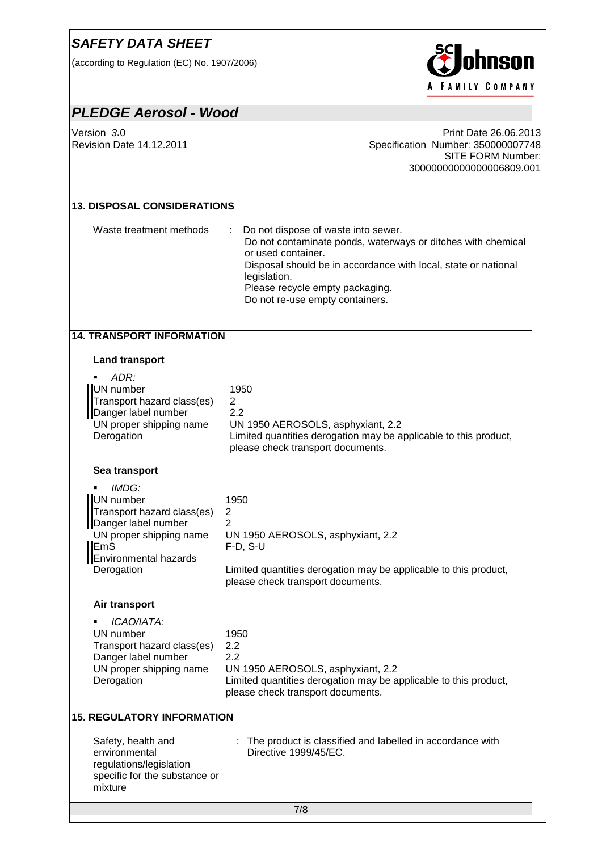(according to Regulation (EC) No. 1907/2006)



# *PLEDGE Aerosol - Wood*

Version *3***.**0 Print Date 26.06.2013 Specification Number: 350000007748 SITE FORM Number: 30000000000000006809.001

### **13. DISPOSAL CONSIDERATIONS**

Waste treatment methods : Do not dispose of waste into sewer. Do not contaminate ponds, waterways or ditches with chemical or used container. Disposal should be in accordance with local, state or national legislation. Please recycle empty packaging. Do not re-use empty containers.

#### **14. TRANSPORT INFORMATION**

#### **Land transport**

| ADR:<br>٠<br>UN number<br>Transport hazard class(es)<br>Danger label number<br>UN proper shipping name<br>Derogation                                           | 1950<br>$\overline{c}$<br>2.2<br>UN 1950 AEROSOLS, asphyxiant, 2.2<br>Limited quantities derogation may be applicable to this product,<br>please check transport documents.                           |
|----------------------------------------------------------------------------------------------------------------------------------------------------------------|-------------------------------------------------------------------------------------------------------------------------------------------------------------------------------------------------------|
| Sea transport                                                                                                                                                  |                                                                                                                                                                                                       |
| IMDG:<br>UN number<br>Transport hazard class(es)<br>Danger label number<br>UN proper shipping name<br><b>EmS</b><br><b>Environmental hazards</b><br>Derogation | 1950<br>$\overline{c}$<br>$\overline{2}$<br>UN 1950 AEROSOLS, asphyxiant, 2.2<br>$F-D$ , S-U<br>Limited quantities derogation may be applicable to this product,<br>please check transport documents. |
| Air transport                                                                                                                                                  |                                                                                                                                                                                                       |
| ICAO/IATA:<br>UN number<br>Transport hazard class(es)<br>Danger label number<br>UN proper shipping name<br>Derogation                                          | 1950<br>2.2<br>2.2<br>UN 1950 AEROSOLS, asphyxiant, 2.2<br>Limited quantities derogation may be applicable to this product,<br>please check transport documents.                                      |
| <b>15. REGULATORY INFORMATION</b>                                                                                                                              |                                                                                                                                                                                                       |
| Safety, health and<br>environmental<br>regulations/legislation<br>specific for the substance or<br>mixture                                                     | The product is classified and labelled in accordance with<br>Directive 1999/45/EC.                                                                                                                    |